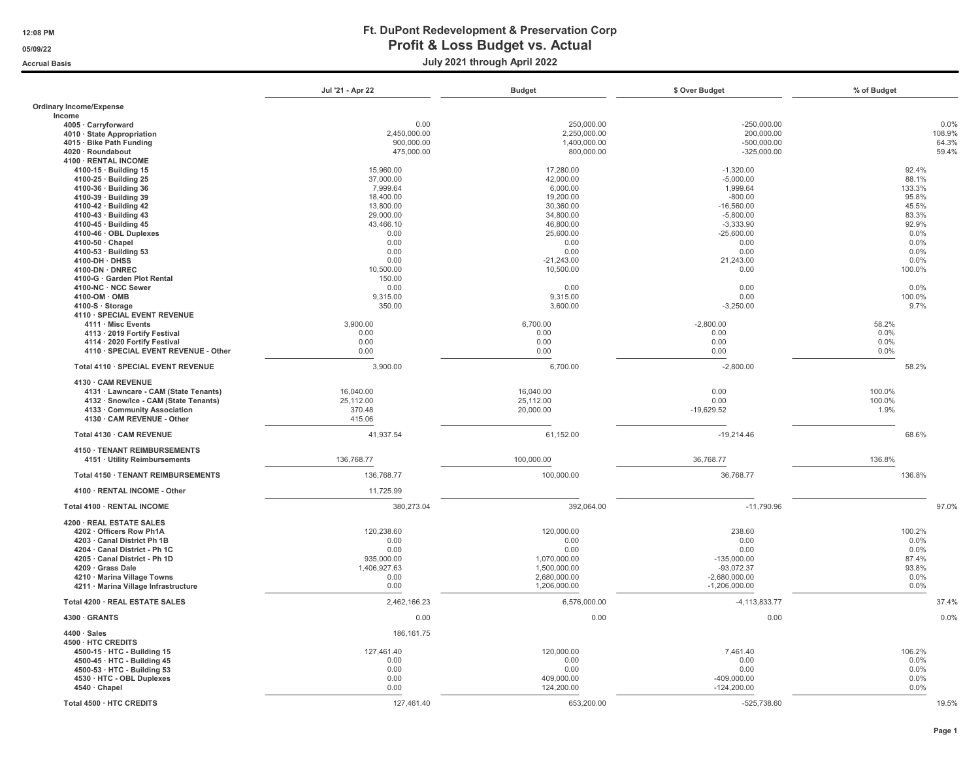|                                          | Jul '21 - Apr 22 | <b>Budget</b> | \$ Over Budget    | % of Budget |
|------------------------------------------|------------------|---------------|-------------------|-------------|
| <b>Ordinary Income/Expense</b><br>Income |                  |               |                   |             |
| 4005 · Carryforward                      | 0.00             | 250,000.00    | $-250,000.00$     | 0.0%        |
| 4010 · State Appropriation               | 2,450,000.00     | 2,250,000.00  | 200,000.00        | 108.9%      |
| 4015 · Bike Path Funding                 | 900,000.00       | 1,400,000.00  | $-500,000.00$     | 64.3%       |
| 4020 · Roundabout                        | 475,000.00       | 800,000.00    | $-325,000.00$     | 59.4%       |
| 4100 · RENTAL INCOME                     |                  |               |                   |             |
| 4100-15 · Building 15                    | 15,960.00        | 17,280.00     | $-1,320.00$       | 92.4%       |
| 4100-25 · Building 25                    | 37,000.00        | 42,000.00     | $-5,000.00$       | 88.1%       |
| 4100-36 · Building 36                    | 7,999.64         | 6,000.00      | 1,999.64          | 133.3%      |
| 4100-39 · Building 39                    | 18,400.00        | 19,200.00     | $-800.00$         | 95.8%       |
| 4100-42 · Building 42                    | 13,800.00        | 30,360.00     | $-16,560.00$      | 45.5%       |
| 4100-43 · Building 43                    | 29,000.00        | 34,800.00     | $-5,800.00$       | 83.3%       |
| 4100-45 · Building 45                    | 43,466.10        | 46,800.00     | $-3,333.90$       | 92.9%       |
| 4100-46 · OBL Duplexes                   | 0.00             | 25,600.00     | $-25,600.00$      | 0.0%        |
| 4100-50 Chapel                           | 0.00             | 0.00          | 0.00              | 0.0%        |
| 4100-53 · Building 53                    | 0.00             | 0.00          | 0.00              | 0.0%        |
| 4100-DH · DHSS                           | 0.00             | $-21,243.00$  | 21,243.00         | 0.0%        |
| 4100-DN · DNREC                          | 10,500.00        | 10,500.00     | 0.00              | 100.0%      |
| 4100-G · Garden Plot Rental              | 150.00           |               |                   |             |
| 4100-NC · NCC Sewer                      | 0.00             | 0.00          | 0.00              | 0.0%        |
| 4100-OM · OMB                            | 9,315.00         | 9,315.00      | 0.00              | 100.0%      |
| 4100-S · Storage                         | 350.00           | 3,600.00      | $-3,250.00$       | 9.7%        |
| 4110 · SPECIAL EVENT REVENUE             |                  |               |                   |             |
| 4111 · Misc Events                       | 3,900.00         | 6,700.00      | $-2,800.00$       | 58.2%       |
| 4113 · 2019 Fortify Festival             | 0.00             | 0.00          | 0.00              | 0.0%        |
| 4114 · 2020 Fortify Festival             | 0.00             | 0.00          | 0.00              | 0.0%        |
| 4110 · SPECIAL EVENT REVENUE - Other     | 0.00             | 0.00          | 0.00              | 0.0%        |
| Total 4110 · SPECIAL EVENT REVENUE       | 3,900.00         | 6,700.00      | $-2,800.00$       | 58.2%       |
| 4130 · CAM REVENUE                       |                  |               |                   |             |
| 4131 · Lawncare - CAM (State Tenants)    | 16,040.00        | 16,040.00     | 0.00              | 100.0%      |
| 4132 · Snow/Ice - CAM (State Tenants)    | 25,112.00        | 25,112.00     | 0.00              | 100.0%      |
| 4133 · Community Association             | 370.48           | 20,000.00     | $-19,629.52$      | 1.9%        |
| 4130 · CAM REVENUE - Other               | 415.06           |               |                   |             |
| Total 4130 · CAM REVENUE                 | 41,937.54        | 61,152.00     | $-19,214.46$      | 68.6%       |
| 4150 · TENANT REIMBURSEMENTS             |                  |               |                   |             |
| 4151 · Utility Reimbursements            | 136,768.77       | 100,000.00    | 36,768.77         | 136.8%      |
| Total 4150 · TENANT REIMBURSEMENTS       | 136,768.77       | 100,000.00    | 36,768.77         | 136.8%      |
| 4100 · RENTAL INCOME - Other             | 11,725.99        |               |                   |             |
| Total 4100 · RENTAL INCOME               | 380,273.04       | 392,064.00    | $-11,790.96$      | 97.0%       |
| 4200 · REAL ESTATE SALES                 |                  |               |                   |             |
| 4202 · Officers Row Ph1A                 | 120.238.60       | 120,000.00    | 238.60            | 100.2%      |
| 4203 · Canal District Ph 1B              | 0.00             | 0.00          | 0.00              | 0.0%        |
| 4204 · Canal District - Ph 1C            | 0.00             | 0.00          | 0.00              | 0.0%        |
| 4205 · Canal District - Ph 1D            | 935,000.00       | 1.070.000.00  | $-135.000.00$     | 87.4%       |
| 4209 · Grass Dale                        | 1,406,927.63     | 1,500,000.00  | $-93,072.37$      | 93.8%       |
| 4210 · Marina Village Towns              | 0.00             | 2,680,000.00  | $-2,680,000.00$   | 0.0%        |
| 4211 · Marina Village Infrastructure     | 0.00             | 1,206,000.00  | $-1,206,000.00$   | 0.0%        |
| Total 4200 · REAL ESTATE SALES           | 2,462,166.23     | 6,576,000.00  | $-4, 113, 833.77$ | 37.4%       |
| 4300 GRANTS                              | 0.00             | 0.00          | 0.00              | 0.0%        |
| $4400 \cdot$ Sales<br>4500 · HTC CREDITS | 186, 161.75      |               |                   |             |
| 4500-15 · HTC - Building 15              | 127,461.40       | 120,000.00    | 7,461.40          | 106.2%      |
| 4500-45 · HTC - Building 45              | 0.00             | 0.00          | 0.00              | 0.0%        |
| 4500-53 · HTC - Building 53              | 0.00             | 0.00          | 0.00              | 0.0%        |
| 4530 · HTC - OBL Duplexes                | 0.00             | 409,000.00    | $-409,000.00$     | 0.0%        |
| 4540 · Chapel                            | 0.00             | 124,200.00    | $-124,200.00$     | 0.0%        |
|                                          |                  |               |                   |             |
| Total 4500 · HTC CREDITS                 | 127,461.40       | 653,200.00    | $-525,738.60$     | 19.5%       |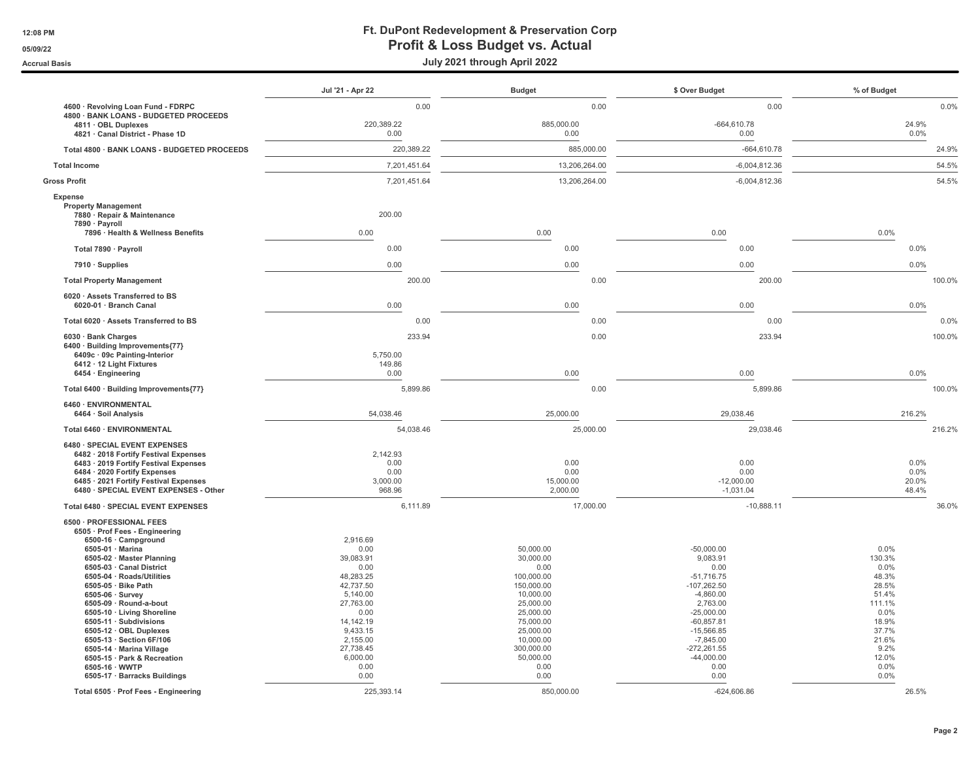|                                                                                                                                                                                                                                                                                                                                                                                                                                                                                              | Jul '21 - Apr 22                                                                                                                                                                 | <b>Budget</b>                                                                                                                                                                       | \$ Over Budget                                                                                                                                                                                               | % of Budget                                                                                                                     |
|----------------------------------------------------------------------------------------------------------------------------------------------------------------------------------------------------------------------------------------------------------------------------------------------------------------------------------------------------------------------------------------------------------------------------------------------------------------------------------------------|----------------------------------------------------------------------------------------------------------------------------------------------------------------------------------|-------------------------------------------------------------------------------------------------------------------------------------------------------------------------------------|--------------------------------------------------------------------------------------------------------------------------------------------------------------------------------------------------------------|---------------------------------------------------------------------------------------------------------------------------------|
| 4600 · Revolving Loan Fund - FDRPC                                                                                                                                                                                                                                                                                                                                                                                                                                                           | 0.00                                                                                                                                                                             | 0.00                                                                                                                                                                                | 0.00                                                                                                                                                                                                         | 0.0%                                                                                                                            |
| 4800 · BANK LOANS - BUDGETED PROCEEDS<br>4811 · OBL Duplexes<br>4821 · Canal District - Phase 1D                                                                                                                                                                                                                                                                                                                                                                                             | 220,389.22<br>0.00                                                                                                                                                               | 885,000.00<br>0.00                                                                                                                                                                  | $-664,610.78$<br>0.00                                                                                                                                                                                        | 24.9%<br>0.0%                                                                                                                   |
| Total 4800 · BANK LOANS - BUDGETED PROCEEDS                                                                                                                                                                                                                                                                                                                                                                                                                                                  | 220,389.22                                                                                                                                                                       | 885,000.00                                                                                                                                                                          | $-664,610.78$                                                                                                                                                                                                | 24.9%                                                                                                                           |
| <b>Total Income</b>                                                                                                                                                                                                                                                                                                                                                                                                                                                                          | 7,201,451.64                                                                                                                                                                     | 13,206,264.00                                                                                                                                                                       | $-6,004,812.36$                                                                                                                                                                                              | 54.5%                                                                                                                           |
| <b>Gross Profit</b>                                                                                                                                                                                                                                                                                                                                                                                                                                                                          | 7,201,451.64                                                                                                                                                                     | 13,206,264.00                                                                                                                                                                       | $-6,004,812.36$                                                                                                                                                                                              | 54.5%                                                                                                                           |
| Expense<br><b>Property Management</b><br>7880 · Repair & Maintenance<br>7890 · Payroll<br>7896 · Health & Wellness Benefits                                                                                                                                                                                                                                                                                                                                                                  | 200.00<br>0.00                                                                                                                                                                   | 0.00                                                                                                                                                                                | 0.00                                                                                                                                                                                                         | 0.0%                                                                                                                            |
| Total 7890 · Payroll                                                                                                                                                                                                                                                                                                                                                                                                                                                                         | 0.00                                                                                                                                                                             | 0.00                                                                                                                                                                                | 0.00                                                                                                                                                                                                         | 0.0%                                                                                                                            |
| $7910 \cdot$ Supplies                                                                                                                                                                                                                                                                                                                                                                                                                                                                        | 0.00                                                                                                                                                                             | 0.00                                                                                                                                                                                | 0.00                                                                                                                                                                                                         | 0.0%                                                                                                                            |
| <b>Total Property Management</b>                                                                                                                                                                                                                                                                                                                                                                                                                                                             | 200.00                                                                                                                                                                           | 0.00                                                                                                                                                                                | 200.00                                                                                                                                                                                                       | 100.0%                                                                                                                          |
| 6020 · Assets Transferred to BS<br>6020-01 · Branch Canal                                                                                                                                                                                                                                                                                                                                                                                                                                    | 0.00                                                                                                                                                                             | 0.00                                                                                                                                                                                | 0.00                                                                                                                                                                                                         | 0.0%                                                                                                                            |
| Total 6020 · Assets Transferred to BS                                                                                                                                                                                                                                                                                                                                                                                                                                                        | 0.00                                                                                                                                                                             | 0.00                                                                                                                                                                                | 0.00                                                                                                                                                                                                         | 0.0%                                                                                                                            |
| 6030 · Bank Charges<br>6400 · Building Improvements{77}<br>6409c · 09c Painting-Interior<br>6412 · 12 Light Fixtures<br>6454 · Engineering                                                                                                                                                                                                                                                                                                                                                   | 233.94<br>5,750.00<br>149.86<br>0.00                                                                                                                                             | 0.00<br>0.00                                                                                                                                                                        | 233.94<br>0.00                                                                                                                                                                                               | 100.0%<br>0.0%                                                                                                                  |
| Total 6400 · Building Improvements{77}                                                                                                                                                                                                                                                                                                                                                                                                                                                       | 5,899.86                                                                                                                                                                         | 0.00                                                                                                                                                                                | 5,899.86                                                                                                                                                                                                     | 100.0%                                                                                                                          |
| 6460 · ENVIRONMENTAL<br>6464 · Soil Analysis                                                                                                                                                                                                                                                                                                                                                                                                                                                 | 54,038.46                                                                                                                                                                        | 25,000.00                                                                                                                                                                           | 29,038.46                                                                                                                                                                                                    | 216.2%                                                                                                                          |
| Total 6460 · ENVIRONMENTAL                                                                                                                                                                                                                                                                                                                                                                                                                                                                   | 54,038.46                                                                                                                                                                        | 25,000.00                                                                                                                                                                           | 29,038.46                                                                                                                                                                                                    | 216.2%                                                                                                                          |
| 6480 · SPECIAL EVENT EXPENSES<br>6482 · 2018 Fortify Festival Expenses<br>6483 · 2019 Fortify Festival Expenses<br>6484 · 2020 Fortify Expenses<br>6485 · 2021 Fortify Festival Expenses<br>6480 · SPECIAL EVENT EXPENSES - Other                                                                                                                                                                                                                                                            | 2.142.93<br>0.00<br>0.00<br>3,000.00<br>968.96                                                                                                                                   | 0.00<br>0.00<br>15,000.00<br>2,000.00                                                                                                                                               | 0.00<br>0.00<br>$-12,000.00$<br>$-1,031.04$                                                                                                                                                                  | 0.0%<br>0.0%<br>20.0%<br>48.4%                                                                                                  |
| Total 6480 · SPECIAL EVENT EXPENSES                                                                                                                                                                                                                                                                                                                                                                                                                                                          | 6,111.89                                                                                                                                                                         | 17,000.00                                                                                                                                                                           | $-10,888.11$                                                                                                                                                                                                 | 36.0%                                                                                                                           |
| 6500 · PROFESSIONAL FEES<br>6505 · Prof Fees - Engineering<br>6500-16 · Campground<br>6505-01 · Marina<br>6505-02 · Master Planning<br>6505-03 · Canal District<br>6505-04 · Roads/Utilities<br>6505-05 · Bike Path<br>6505-06 · Survey<br>6505-09 · Round-a-bout<br>6505-10 · Living Shoreline<br>6505-11 · Subdivisions<br>6505-12 · OBL Duplexes<br>6505-13 · Section 6F/106<br>6505-14 · Marina Village<br>6505-15 · Park & Recreation<br>6505-16 · WWTP<br>6505-17 · Barracks Buildings | 2.916.69<br>0.00<br>39,083.91<br>0.00<br>48,283.25<br>42,737.50<br>5,140.00<br>27,763.00<br>0.00<br>14, 142. 19<br>9.433.15<br>2,155.00<br>27,738.45<br>6,000.00<br>0.00<br>0.00 | 50,000.00<br>30,000.00<br>0.00<br>100,000.00<br>150,000.00<br>10,000.00<br>25,000.00<br>25,000.00<br>75,000.00<br>25,000,00<br>10,000.00<br>300,000.00<br>50,000.00<br>0.00<br>0.00 | $-50,000.00$<br>9,083.91<br>0.00<br>$-51,716.75$<br>$-107,262.50$<br>$-4,860.00$<br>2,763.00<br>$-25,000.00$<br>$-60,857.81$<br>$-15.566.85$<br>$-7,845.00$<br>$-272,261.55$<br>$-44,000.00$<br>0.00<br>0.00 | 0.0%<br>130.3%<br>0.0%<br>48.3%<br>28.5%<br>51.4%<br>111.1%<br>0.0%<br>18.9%<br>37.7%<br>21.6%<br>9.2%<br>12.0%<br>0.0%<br>0.0% |
| Total 6505 · Prof Fees - Engineering                                                                                                                                                                                                                                                                                                                                                                                                                                                         | 225,393.14                                                                                                                                                                       | 850,000.00                                                                                                                                                                          | $-624,606.86$                                                                                                                                                                                                | 26.5%                                                                                                                           |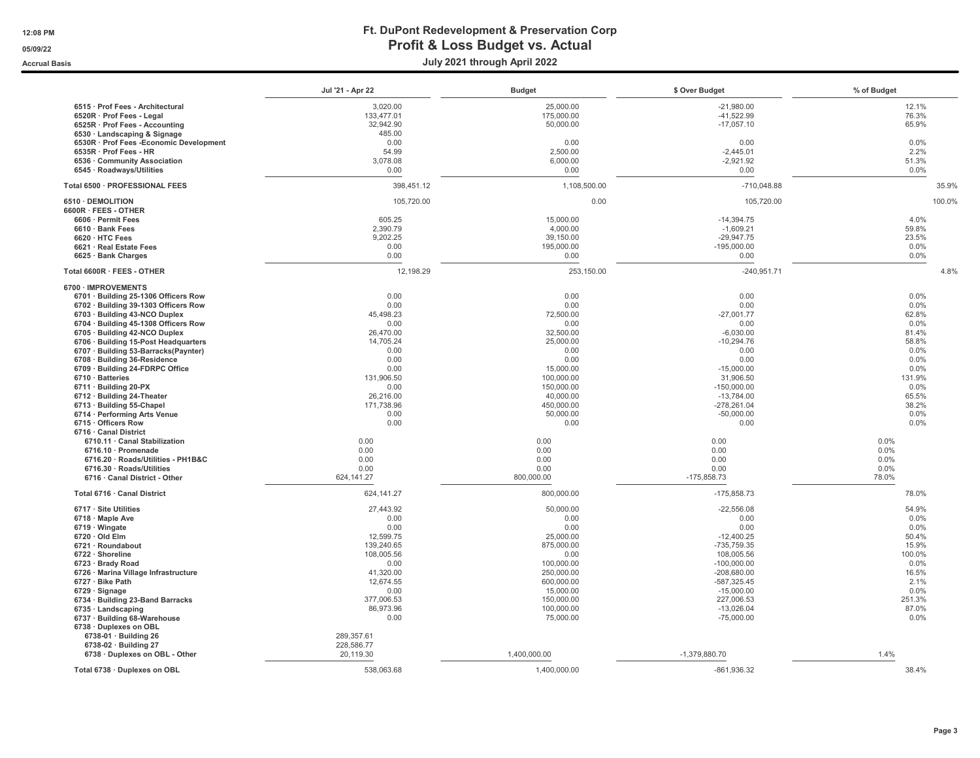|                                                                       | Jul '21 - Apr 22  | <b>Budget</b>      | \$ Over Budget        | % of Budget   |
|-----------------------------------------------------------------------|-------------------|--------------------|-----------------------|---------------|
| 6515 · Prof Fees - Architectural                                      | 3,020.00          | 25,000.00          | $-21,980.00$          | 12.1%         |
| 6520R · Prof Fees - Legal                                             | 133,477.01        | 175,000.00         | $-41,522.99$          | 76.3%         |
| 6525R · Prof Fees - Accounting                                        | 32.942.90         | 50,000.00          | $-17,057.10$          | 65.9%         |
| 6530 · Landscaping & Signage                                          | 485.00            |                    |                       |               |
| 6530R · Prof Fees - Economic Development                              | 0.00              | 0.00               | 0.00                  | 0.0%          |
| 6535R · Prof Fees - HR                                                | 54.99             | 2,500.00           | $-2,445.01$           | 2.2%          |
| 6536 · Community Association                                          | 3,078.08          | 6,000.00           | $-2,921.92$           | 51.3%         |
| 6545 · Roadways/Utilities                                             | 0.00              | 0.00               | 0.00                  | 0.0%          |
| Total 6500 · PROFESSIONAL FEES                                        | 398,451.12        | 1,108,500.00       | $-710,048.88$         | 35.9%         |
| 6510 · DEMOLITION                                                     | 105,720.00        | 0.00               | 105,720.00            | 100.0%        |
| 6600R · FEES - OTHER                                                  |                   |                    |                       |               |
| 6606 · Permit Fees                                                    | 605.25            | 15,000.00          | $-14,394.75$          | 4.0%          |
| 6610 · Bank Fees                                                      | 2,390.79          | 4,000.00           | $-1,609.21$           | 59.8%         |
| 6620 · HTC Fees                                                       | 9,202.25          | 39,150.00          | $-29,947.75$          | 23.5%         |
| 6621 · Real Estate Fees                                               | 0.00<br>0.00      | 195,000.00<br>0.00 | $-195,000.00$<br>0.00 | 0.0%<br>0.0%  |
| 6625 · Bank Charges                                                   |                   |                    |                       |               |
| Total 6600R · FEES - OTHER                                            | 12,198.29         | 253,150.00         | $-240,951.71$         | 4.8%          |
| 6700 · IMPROVEMENTS                                                   |                   |                    |                       |               |
| 6701 · Building 25-1306 Officers Row                                  | 0.00              | 0.00               | 0.00                  | 0.0%          |
| 6702 · Building 39-1303 Officers Row<br>6703 · Building 43-NCO Duplex | 0.00<br>45,498.23 | 0.00<br>72,500.00  | 0.00<br>$-27,001.77$  | 0.0%<br>62.8% |
| 6704 · Building 45-1308 Officers Row                                  | 0.00              | 0.00               | 0.00                  | 0.0%          |
| 6705 · Building 42-NCO Duplex                                         | 26,470.00         | 32,500.00          | $-6,030.00$           | 81.4%         |
| 6706 · Building 15-Post Headquarters                                  | 14,705.24         | 25,000.00          | $-10,294.76$          | 58.8%         |
| 6707 · Building 53-Barracks(Paynter)                                  | 0.00              | 0.00               | 0.00                  | 0.0%          |
| 6708 · Building 36-Residence                                          | 0.00              | 0.00               | 0.00                  | 0.0%          |
| 6709 · Building 24-FDRPC Office                                       | 0.00              | 15,000.00          | $-15,000.00$          | 0.0%          |
| 6710 · Batteries                                                      | 131.906.50        | 100,000.00         | 31,906.50             | 131.9%        |
| 6711 · Building 20-PX                                                 | 0.00              | 150,000.00         | $-150,000.00$         | 0.0%          |
| 6712 · Building 24-Theater                                            | 26,216.00         | 40,000.00          | $-13,784.00$          | 65.5%         |
| 6713 · Building 55-Chapel                                             | 171.738.96        | 450.000.00         | $-278.261.04$         | 38.2%         |
| 6714 · Performing Arts Venue                                          | 0.00              | 50,000.00          | $-50,000.00$          | $0.0\%$       |
| 6715 · Officers Row                                                   | 0.00              | 0.00               | 0.00                  | 0.0%          |
| 6716 · Canal District                                                 |                   |                    |                       |               |
| 6710.11 · Canal Stabilization                                         | 0.00              | 0.00               | 0.00                  | $0.0\%$       |
| 6716.10 · Promenade                                                   | 0.00<br>0.00      | 0.00<br>0.00       | 0.00<br>0.00          | 0.0%<br>0.0%  |
| 6716.20 · Roads/Utilities - PH1B&C<br>6716.30 · Roads/Utilities       | 0.00              | 0.00               | 0.00                  | 0.0%          |
| 6716 · Canal District - Other                                         | 624,141.27        | 800,000.00         | $-175,858.73$         | 78.0%         |
|                                                                       |                   |                    |                       |               |
| Total 6716 · Canal District                                           | 624, 141.27       | 800,000.00         | $-175,858.73$         | 78.0%         |
| 6717 · Site Utilities                                                 | 27.443.92         | 50,000.00          | $-22.556.08$          | 54.9%         |
| 6718 · Maple Ave                                                      | 0.00<br>0.00      | 0.00<br>0.00       | 0.00<br>0.00          | 0.0%<br>0.0%  |
| $6719 \cdot$ Wingate<br>$6720 \cdot$ Old Elm                          | 12.599.75         | 25,000.00          | $-12.400.25$          | 50.4%         |
| 6721 · Roundabout                                                     | 139,240.65        | 875,000.00         | -735,759.35           | 15.9%         |
| $6722 \cdot$ Shoreline                                                | 108,005.56        | 0.00               | 108,005.56            | 100.0%        |
| 6723 · Brady Road                                                     | 0.00              | 100,000.00         | $-100,000.00$         | 0.0%          |
| 6726 · Marina Village Infrastructure                                  | 41,320.00         | 250,000.00         | $-208,680.00$         | 16.5%         |
| 6727 · Bike Path                                                      | 12,674.55         | 600,000.00         | $-587,325.45$         | 2.1%          |
| $6729 \cdot$ Signage                                                  | 0.00              | 15,000.00          | $-15,000.00$          | 0.0%          |
| 6734 · Building 23-Band Barracks                                      | 377,006.53        | 150,000.00         | 227,006.53            | 251.3%        |
| 6735 · Landscaping                                                    | 86,973.96         | 100,000.00         | $-13,026.04$          | 87.0%         |
| 6737 · Building 68-Warehouse                                          | 0.00              | 75,000.00          | $-75,000.00$          | 0.0%          |
| 6738 · Duplexes on OBL                                                |                   |                    |                       |               |
| $6738-01 \cdot$ Building 26                                           | 289,357.61        |                    |                       |               |
| $6738-02 \cdot$ Building 27                                           | 228,586.77        |                    |                       |               |
| 6738 · Duplexes on OBL - Other                                        | 20.119.30         | 1,400,000.00       | -1,379,880.70         | 1.4%          |
| Total 6738 · Duplexes on OBL                                          | 538,063.68        | 1,400,000.00       | $-861,936.32$         | 38.4%         |
|                                                                       |                   |                    |                       |               |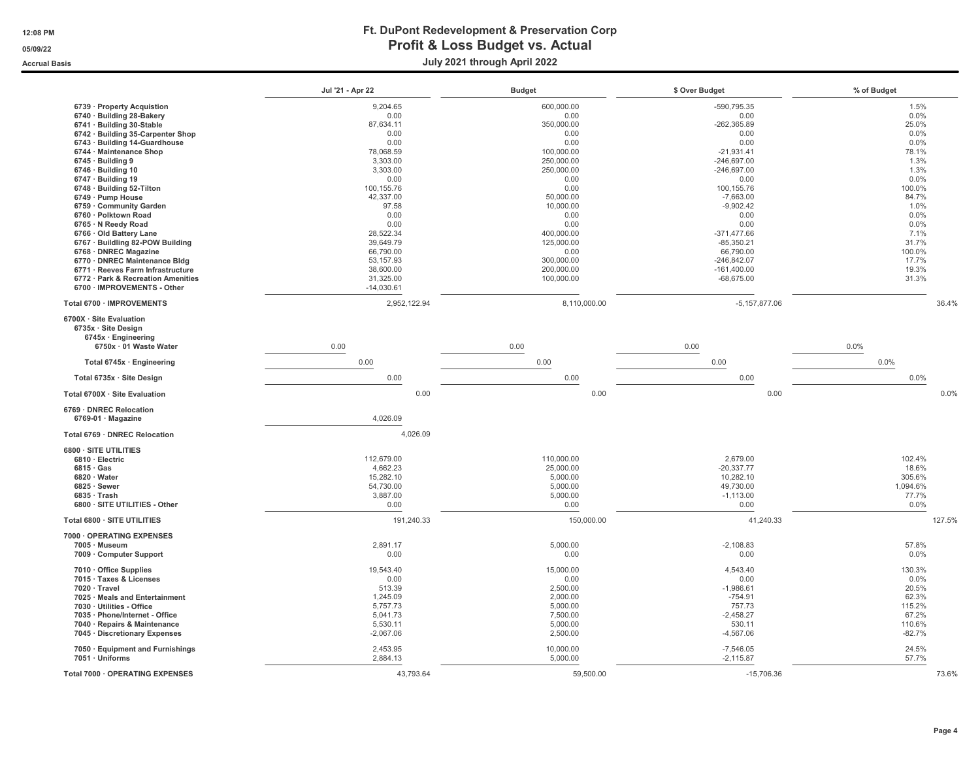#### 12:08 PM Ft. DuPont Redevelopment & Preservation Corp 05/09/22 OS/09/22 and Definit & Loss Budget vs. Actual Accrual Basis July 2021 through April 2022

|                                                                             | Jul '21 - Apr 22     | <b>Budget</b>         | \$ Over Budget             | % of Budget       |
|-----------------------------------------------------------------------------|----------------------|-----------------------|----------------------------|-------------------|
| 6739 · Property Acquistion                                                  | 9,204.65             | 600,000.00            | $-590.795.35$              | 1.5%              |
| 6740 · Building 28-Bakery                                                   | 0.00                 | 0.00                  | 0.00                       | 0.0%              |
| 6741 · Building 30-Stable                                                   | 87,634.11            | 350,000.00            | $-262,365.89$              | 25.0%             |
| 6742 · Building 35-Carpenter Shop                                           | 0.00                 | 0.00                  | 0.00                       | 0.0%              |
| 6743 · Building 14-Guardhouse                                               | 0.00                 | 0.00                  | 0.00                       | 0.0%              |
| 6744 · Maintenance Shop                                                     | 78,068.59            | 100,000.00            | $-21.931.41$               | 78.1%             |
| $6745 \cdot$ Building 9                                                     | 3,303.00             | 250,000.00            | $-246,697.00$              | 1.3%              |
| $6746 \cdot$ Building 10                                                    | 3,303.00             | 250,000.00            | $-246,697.00$              | 1.3%              |
| $6747 \cdot$ Building 19                                                    | 0.00                 | 0.00                  | 0.00                       | 0.0%              |
| 6748 · Building 52-Tilton                                                   | 100,155.76           | 0.00                  | 100,155.76                 | 100.0%            |
| 6749 · Pump House                                                           | 42,337.00            | 50,000.00             | $-7,663.00$                | 84.7%             |
| 6759 Community Garden<br>6760 · Polktown Road                               | 97.58<br>0.00        | 10,000.00<br>0.00     | $-9,902.42$<br>0.00        | 1.0%<br>0.0%      |
| 6765 · N Reedy Road                                                         | 0.00                 | 0.00                  | 0.00                       | 0.0%              |
| 6766 · Old Battery Lane                                                     | 28,522.34            | 400,000.00            | $-371,477.66$              | 7.1%              |
| 6767 · Buildling 82-POW Building                                            | 39,649.79            | 125,000.00            | $-85,350.21$               | 31.7%             |
| 6768 · DNREC Magazine                                                       | 66,790.00            | 0.00                  | 66,790.00                  | 100.0%            |
| 6770 · DNREC Maintenance Bldg                                               | 53, 157.93           | 300,000.00            | $-246,842.07$              | 17.7%             |
| 6771 · Reeves Farm Infrastructure                                           | 38,600.00            | 200,000.00            | $-161,400.00$              | 19.3%             |
| 6772 · Park & Recreation Amenities                                          | 31,325.00            | 100,000.00            | $-68,675.00$               | 31.3%             |
| 6700 · IMPROVEMENTS - Other                                                 | $-14,030.61$         |                       |                            |                   |
| Total 6700 · IMPROVEMENTS                                                   | 2,952,122.94         | 8,110,000.00          | $-5,157,877.06$            | 36.4%             |
| 6700X · Site Evaluation<br>6735x · Site Design<br>$6745x \cdot$ Engineering |                      |                       |                            |                   |
| 6750x · 01 Waste Water                                                      | 0.00                 | 0.00                  | 0.00                       | 0.0%              |
| Total 6745x · Engineering                                                   | 0.00                 | 0.00                  | 0.00                       | 0.0%              |
| Total 6735x · Site Design                                                   | 0.00                 | 0.00                  | 0.00                       | 0.0%              |
| Total 6700X · Site Evaluation                                               | 0.00                 | 0.00                  | 0.00                       | 0.0%              |
| 6769 · DNREC Relocation<br>$6769-01 \cdot Magazine$                         | 4,026.09             |                       |                            |                   |
| Total 6769 · DNREC Relocation                                               | 4,026.09             |                       |                            |                   |
| 6800 · SITE UTILITIES                                                       |                      |                       |                            |                   |
| 6810 · Electric                                                             | 112,679.00           | 110,000.00            | 2,679.00                   | 102.4%            |
| $6815 \cdot Gas$                                                            | 4,662.23             | 25,000.00             | $-20,337.77$               | 18.6%             |
| 6820 · Water                                                                | 15,282.10            | 5,000.00              | 10,282.10                  | 305.6%            |
| $6825 \cdot$ Sewer                                                          | 54,730.00            | 5,000.00              | 49,730.00                  | 1,094.6%<br>77.7% |
| $6835 \cdot$ Trash<br>6800 · SITE UTILITIES - Other                         | 3,887.00<br>0.00     | 5,000.00<br>0.00      | $-1,113.00$<br>0.00        | 0.0%              |
|                                                                             |                      |                       |                            |                   |
| Total 6800 · SITE UTILITIES                                                 | 191,240.33           | 150,000.00            | 41,240.33                  | 127.5%            |
| 7000 · OPERATING EXPENSES                                                   |                      |                       |                            |                   |
| 7005 · Museum                                                               | 2,891.17             | 5,000.00              | $-2,108.83$                | 57.8%             |
| 7009 · Computer Support                                                     | 0.00                 | 0.00                  | 0.00                       | 0.0%              |
|                                                                             |                      |                       |                            |                   |
| $7010 \cdot$ Office Supplies<br>7015 · Taxes & Licenses                     | 19,543.40<br>0.00    | 15,000.00<br>0.00     | 4,543.40<br>0.00           | 130.3%<br>0.0%    |
| 7020 · Travel                                                               | 513.39               | 2,500.00              | $-1,986.61$                | 20.5%             |
| 7025 · Meals and Entertainment                                              | 1,245.09             | 2,000.00              | $-754.91$                  | 62.3%             |
| 7030 · Utilities - Office                                                   | 5.757.73             | 5,000.00              | 757.73                     | 115.2%            |
| 7035 · Phone/Internet - Office                                              | 5,041.73             | 7,500.00              | $-2,458.27$                | 67.2%             |
| 7040 · Repairs & Maintenance                                                | 5,530.11             | 5,000.00              | 530.11                     | 110.6%            |
| 7045 · Discretionary Expenses                                               | $-2,067.06$          | 2,500.00              | $-4,567.06$                | $-82.7%$          |
|                                                                             |                      |                       |                            |                   |
| 7050 · Equipment and Furnishings<br>7051 · Uniforms                         | 2,453.95<br>2,884.13 | 10,000.00<br>5,000.00 | $-7,546.05$<br>$-2,115.87$ | 24.5%<br>57.7%    |
| Total 7000 · OPERATING EXPENSES                                             | 43,793.64            | 59,500.00             | $-15,706.36$               | 73.6%             |